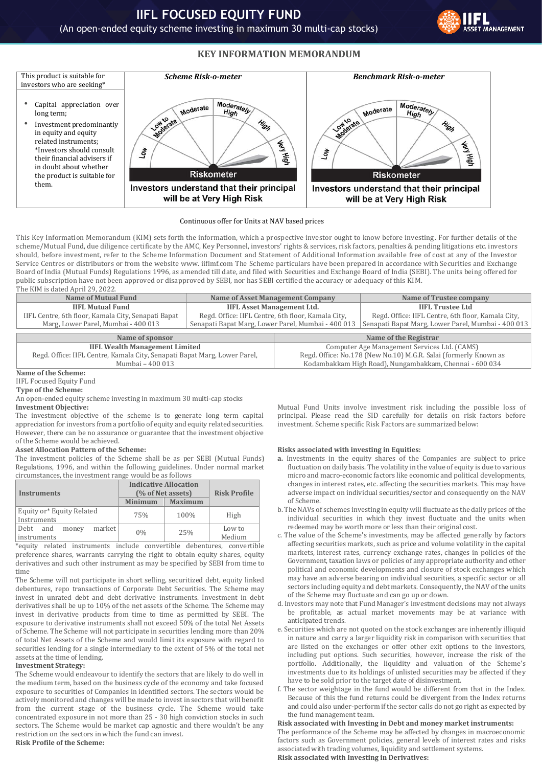



#### Continuous offer for Units at NAV based prices

This Key Information Memorandum (KIM) sets forth the information, which a prospective investor ought to know before investing. For further details of the scheme/Mutual Fund, due diligence certificate by the AMC, Key Personnel, investors' rights & services, risk factors, penalties & pending litigations etc. investors should, before investment, refer to the Scheme Information Document and Statement of Additional Information available free of cost at any of the Investor Service Centres or distributors or from the website www. iiflmf.com The Scheme particulars have been prepared in accordance with Securities and Exchange Board of India (Mutual Funds) Regulations 1996, as amended till date, and filed with Securities and Exchange Board of India (SEBI). The units being offered for public subscription have not been approved or disapproved by SEBI, nor has SEBI certified the accuracy or adequacy of this KIM. The KIM is dated April 29, 2022.

| <b>Name of Mutual Fund</b>                                                | <b>Name of Asset Management Company</b>            |                                                                  | Name of Trustee company                                 |  |  |  |
|---------------------------------------------------------------------------|----------------------------------------------------|------------------------------------------------------------------|---------------------------------------------------------|--|--|--|
| <b>IIFL Mutual Fund</b>                                                   | <b>IIFL Asset Management Ltd.</b>                  |                                                                  | <b>IIFL Trustee Ltd</b>                                 |  |  |  |
| IIFL Centre, 6th floor, Kamala City, Senapati Bapat                       | Regd. Office: IIFL Centre, 6th floor, Kamala City, |                                                                  | Regd. Office: IIFL Centre, 6th floor, Kamala City,      |  |  |  |
| Marg, Lower Parel, Mumbai - 400 013                                       |                                                    | Senapati Bapat Marg, Lower Parel, Mumbai - 400 013               | Senapati Bapat Marg, Lower Parel, Mumbai - 400 013      |  |  |  |
|                                                                           |                                                    |                                                                  |                                                         |  |  |  |
| Name of sponsor                                                           |                                                    | Name of the Registrar                                            |                                                         |  |  |  |
| <b>IIFL Wealth Management Limited</b>                                     |                                                    | Computer Age Management Services Ltd. (CAMS)                     |                                                         |  |  |  |
| Regd. Office: IIFL Centre, Kamala City, Senapati Bapat Marg, Lower Parel, |                                                    | Regd. Office: No.178 (New No.10) M.G.R. Salai (formerly Known as |                                                         |  |  |  |
| Mumbai - 400 013                                                          |                                                    |                                                                  | Kodambakkam High Road), Nungambakkam, Chennai - 600 034 |  |  |  |

### **Name of the Scheme:**

IIFL Focused Equity Fund

#### **Type of the Scheme:**

An open-ended equity scheme investing in maximum 30 multi-cap stocks

### **Investment Objective:**

The investment objective of the scheme is to generate long term capital appreciation for investors from a portfolio of equity and equity related securities. However, there can be no assurance or guarantee that the investment objective of the Scheme would be achieved.

### **Asset Allocation Pattern of the Scheme:**

The investment policies of the Scheme shall be as per SEBI (Mutual Funds) Regulations, 1996, and within the following guidelines. Under normal market circumstances, the investment range would be as follows

| <b>Instruments</b>                                | <b>Indicative Allocation</b><br>(% of Net assets) | <b>Risk Profile</b> |                  |
|---------------------------------------------------|---------------------------------------------------|---------------------|------------------|
|                                                   | <b>Minimum</b>                                    | <b>Maximum</b>      |                  |
| Equity or* Equity Related<br>Instruments          | 75%                                               | 100%                | High             |
| market<br>  Debt<br>and<br>money<br>  instruments | $0\%$                                             | 25%                 | Low to<br>Medium |

\*equity related instruments include convertible debentures, convertible preference shares, warrants carrying the right to obtain equity shares, equity derivatives and such other instrument as may be specified by SEBI from time to time

The Scheme will not participate in short selling, securitized debt, equity linked debentures, repo transactions of Corporate Debt Securities. The Scheme may invest in unrated debt and debt derivative instruments. Investment in debt derivatives shall be up to 10% of the net assets of the Scheme. The Scheme may invest in derivative products from time to time as permitted by SEBI. The exposure to derivative instruments shall not exceed 50% of the total Net Assets of Scheme. The Scheme will not participate in securities lending more than 20% of total Net Assets of the Scheme and would limit its exposure with regard to securities lending for a single intermediary to the extent of 5% of the total net assets at the time of lending.

### **Investment Strategy:**

The Scheme would endeavour to identify the sectors that are likely to do well in the medium term, based on the business cycle of the economy and take focused exposure to securities of Companies in identified sectors. The sectors would be actively monitored and changes will be made to invest in sectors that will benefit from the current stage of the business cycle. The Scheme would take concentrated exposure in not more than 25 - 30 high conviction stocks in such sectors. The Scheme would be market cap agnostic and there wouldn't be any restriction on the sectors in which the fund can invest. **Risk Profile of the Scheme:** 

Mutual Fund Units involve investment risk including the possible loss of principal. Please read the SID carefully for details on risk factors before investment. Scheme specific Risk Factors are summarized below:

### **Risks associated with investing in Equities:**

- **a.** Investments in the equity shares of the Companies are subject to price fluctuation on daily basis. The volatility in the value of equity is due to various micro and macro-economic factors like economic and political developments, changes in interest rates, etc. affecting the securities markets. This may have adverse impact on individual securities/sector and consequently on the NAV of Scheme.
- b. The NAVs of schemes investing in equity will fluctuate as the daily prices of the individual securities in which they invest fluctuate and the units when redeemed may be worth more or less than their original cost.
- c. The value of the Scheme's investments, may be affected generally by factors affecting securities markets, such as price and volume volatility in the capital markets, interest rates, currency exchange rates, changes in policies of the Government, taxation laws or policies of any appropriate authority and other political and economic developments and closure of stock exchanges which may have an adverse bearing on individual securities, a specific sector or all sectors including equity and debt markets. Consequently, the NAV of the units of the Scheme may fluctuate and can go up or down.
- d. Investors may note that Fund Manager's investment decisions may not always be profitable, as actual market movements may be at variance with anticipated trends.
- e. Securities which are not quoted on the stock exchanges are inherently illiquid in nature and carry a larger liquidity risk in comparison with securities that are listed on the exchanges or offer other exit options to the investors, including put options. Such securities, however, increase the risk of the portfolio. Additionally, the liquidity and valuation of the Scheme's investments due to its holdings of unlisted securities may be affected if they have to be sold prior to the target date of disinvestment.
- f. The sector weightage in the fund would be different from that in the Index. Because of this the fund returns could be divergent from the Index returns and could also under-perform if the sector calls do not go right as expected by the fund management team.

# **Risk associated with Investing in Debt and money market instruments:**

The performance of the Scheme may be affected by changes in macroeconomic factors such as Government policies, general levels of interest rates and risks associated with trading volumes, liquidity and settlement systems. **Risk associated with Investing in Derivatives:**

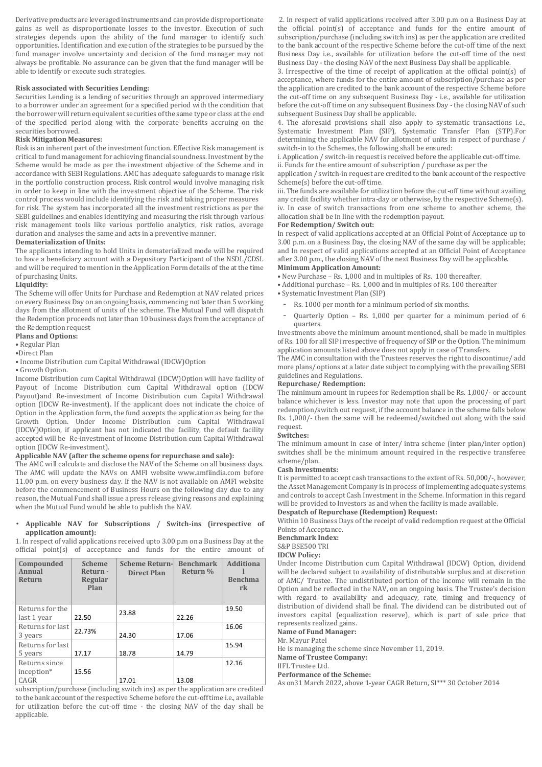Derivative products are leveraged instruments and can provide disproportionate gains as well as disproportionate losses to the investor. Execution of such strategies depends upon the ability of the fund manager to identify such opportunities. Identification and execution of the strategies to be pursued by the fund manager involve uncertainty and decision of the fund manager may not always be profitable. No assurance can be given that the fund manager will be able to identify or execute such strategies.

#### **Risk associated with Securities Lending:**

Securities Lending is a lending of securities through an approved intermediary to a borrower under an agreement for a specified period with the condition that the borrower will return equivalent securities of the same type or class at the end of the specified period along with the corporate benefits accruing on the securities borrowed.

## **Risk Mitigation Measures:**

Risk is an inherent part of the investment function. Effective Risk management is critical to fund management for achieving financial soundness. Investment by the Scheme would be made as per the investment objective of the Scheme and in accordance with SEBI Regulations. AMC has adequate safeguards to manage risk in the portfolio construction process. Risk control would involve managing risk in order to keep in line with the investment objective of the Scheme. The risk control process would include identifying the risk and taking proper measures for risk. The system has incorporated all the investment restrictions as per the SEBI guidelines and enables identifying and measuring the risk through various risk management tools like various portfolio analytics, risk ratios, average duration and analyses the same and acts in a preventive manner.

### **Dematerialization of Units:**

The applicants intending to hold Units in dematerialized mode will be required to have a beneficiary account with a Depository Participant of the NSDL/CDSL and will be required to mention in the Application Form details of the at the time of purchasing Units.

#### **Liquidity:**

The Scheme will offer Units for Purchase and Redemption at NAV related prices on every Business Day on an ongoing basis, commencing not later than 5 working days from the allotment of units of the scheme. The Mutual Fund will dispatch the Redemption proceeds not later than 10 business days from the acceptance of the Redemption request

**Plans and Options:**

• Regular Plan

•Direct Plan

### • Income Distribution cum Capital Withdrawal (IDCW)Option

• Growth Option.

Income Distribution cum Capital Withdrawal (IDCW)Option will have facility of Payout of Income Distribution cum Capital Withdrawal option (IDCW Payout)and Re-investment of Income Distribution cum Capital Withdrawal option (IDCW Re-investment). If the applicant does not indicate the choice of Option in the Application form, the fund accepts the application as being for the Growth Option. Under Income Distribution cum Capital Withdrawal (IDCW)Option, if applicant has not indicated the facility, the default facility accepted will be Re-investment of Income Distribution cum Capital Withdrawal option (IDCW Re-investment).

## **Applicable NAV (after the scheme opens for repurchase and sale):**

The AMC will calculate and disclose the NAV of the Scheme on all business days. The AMC will update the NAVs on AMFI website www.amfiindia.com before 11.00 p.m. on every business day. If the NAV is not available on AMFI website before the commencement of Business Hours on the following day due to any reason, the Mutual Fund shall issue a press release giving reasons and explaining when the Mutual Fund would be able to publish the NAV.

#### • **Applicable NAV for Subscriptions / Switch-ins (irrespective of application amount):**

1. In respect of valid applications received upto 3.00 p.m on a Business Day at the official point(s) of acceptance and funds for the entire amount of

| Compounded<br>Annual<br>Return | <b>Scheme</b><br>Return -<br>Regular<br>Plan | <b>Scheme Return-</b><br><b>Direct Plan</b> | <b>Benchmark</b><br>Return % | <b>Additiona</b><br><b>Benchma</b><br>rk |
|--------------------------------|----------------------------------------------|---------------------------------------------|------------------------------|------------------------------------------|
| Returns for the                |                                              | 23.88                                       |                              | 19.50                                    |
| last 1 year                    | 22.50                                        |                                             | 22.26                        |                                          |
| Returns for last               | 22.73%                                       |                                             |                              | 16.06                                    |
| 3 years                        |                                              | 24.30                                       | 17.06                        |                                          |
| Returns for last               |                                              |                                             |                              | 15.94                                    |
| 5 years                        | 17.17                                        | 18.78                                       | 14.79                        |                                          |
| Returns since                  |                                              |                                             |                              | 12.16                                    |
| inception*                     | 15.56                                        |                                             |                              |                                          |
| CAGR                           |                                              | 17.01                                       | 13.08                        |                                          |

subscription/purchase (including switch ins) as per the application are credited to the bank account of the respective Scheme before the cut-off time i.e., available for utilization before the cut-off time - the closing NAV of the day shall be applicable.

2. In respect of valid applications received after 3.00 p.m on a Business Day at the official point(s) of acceptance and funds for the entire amount of subscription/purchase (including switch ins) as per the application are credited to the bank account of the respective Scheme before the cut-off time of the next Business Day i.e., available for utilization before the cut-off time of the next Business Day - the closing NAV of the next Business Day shall be applicable.

3. Irrespective of the time of receipt of application at the official point(s) of acceptance, where funds for the entire amount of subscription/purchase as per the application are credited to the bank account of the respective Scheme before the cut-off time on any subsequent Business Day - i.e., available for utilization before the cut-off time on any subsequent Business Day - the closing NAV of such subsequent Business Day shall be applicable.

4. The aforesaid provisions shall also apply to systematic transactions i.e., Systematic Investment Plan (SIP), Systematic Transfer Plan (STP).For determining the applicable NAV for allotment of units in respect of purchase / switch-in to the Schemes, the following shall be ensured:

i. Application / switch-in request is received before the applicable cut-off time.

ii. Funds for the entire amount of subscription / purchase as per the application / switch-in request are credited to the bank account of the respective Scheme(s) before the cut-off time.

iii. The funds are available for utilization before the cut-off time without availing any credit facility whether intra-day or otherwise, by the respective Scheme(s). iv. In case of switch transactions from one scheme to another scheme, the allocation shall be in line with the redemption payout.

### **For Redemption/ Switch out:**

In respect of valid applications accepted at an Official Point of Acceptance up to 3.00 p.m. on a Business Day, the closing NAV of the same day will be applicable; and In respect of valid applications accepted at an Official Point of Acceptance after 3.00 p.m., the closing NAV of the next Business Day will be applicable. **Minimum Application Amount:**

• New Purchase – Rs. 1,000 and in multiples of Rs. 100 thereafter.

- Additional purchase Rs. 1,000 and in multiples of Rs. 100 thereafter
- Systematic Investment Plan (SIP)
	- Rs. 1000 per month for a minimum period of six months.
- Quarterly Option Rs. 1,000 per quarter for a minimum period of 6 quarters.

Investments above the minimum amount mentioned, shall be made in multiples of Rs. 100 for all SIP irrespective of frequency of SIP or the Option. The minimum application amounts listed above does not apply in case of Transfers.

The AMC in consultation with the Trustees reserves the right to discontinue/ add more plans/ options at a later date subject to complying with the prevailing SEBI guidelines and Regulations.

### **Repurchase/ Redemption:**

The minimum amount in rupees for Redemption shall be Rs. 1,000/- or account balance whichever is less. Investor may note that upon the processing of part redemption/switch out request, if the account balance in the scheme falls below Rs. 1,000/- then the same will be redeemed/switched out along with the said request.

### **Switches:**

The minimum amount in case of inter/ intra scheme (inter plan/inter option) switches shall be the minimum amount required in the respective transferee scheme/plan.

#### **Cash Investments:**

It is permitted to accept cash transactions to the extent of Rs. 50,000/-, however, the Asset Management Company is in process of implementing adequate systems and controls to accept Cash Investment in the Scheme. Information in this regard will be provided to Investors as and when the facility is made available.

**Despatch of Repurchase (Redemption) Request:** 

Within 10 Business Days of the receipt of valid redemption request at the Official Points of Acceptance.

## **Benchmark Index:**

# S&P BSE500 TRI

# **IDCW Policy:**

Under Income Distribution cum Capital Withdrawal (IDCW) Option, dividend will be declared subject to availability of distributable surplus and at discretion of AMC/ Trustee. The undistributed portion of the income will remain in the Option and be reflected in the NAV, on an ongoing basis. The Trustee's decision with regard to availability and adequacy, rate, timing and frequency of distribution of dividend shall be final. The dividend can be distributed out of investors capital (equalization reserve), which is part of sale price that represents realized gains.

### **Name of Fund Manager:**

Mr. Mayur Patel

He is managing the scheme since November 11, 2019.

**Name of Trustee Company:**

#### IIFL Trustee Ltd.

### **Performance of the Scheme:**

As on31 March 2022, above 1-year CAGR Return, SI\*\*\* 30 October 2014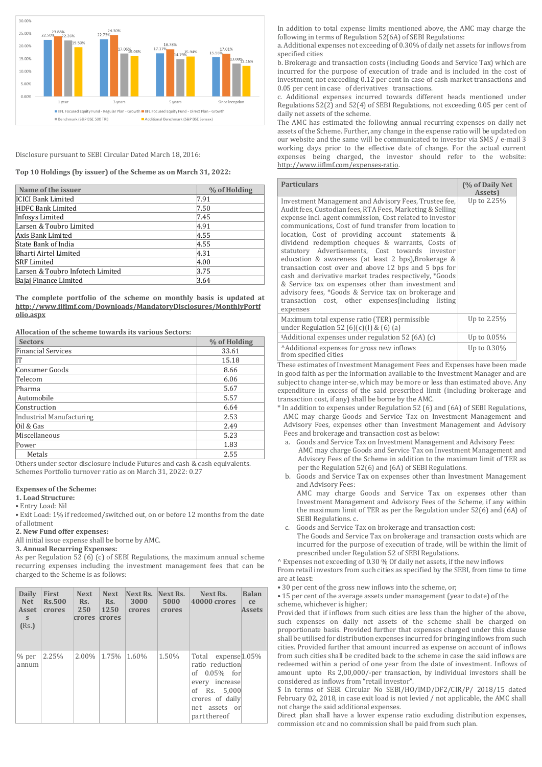

### Disclosure pursuant to SEBI Circular Dated March 18, 2016:

**Top 10 Holdings (by issuer) of the Scheme as on March 31, 2022:**

| Name of the issuer               | % of Holding |
|----------------------------------|--------------|
| <b>ICICI Bank Limited</b>        | 7.91         |
| HDFC Bank Limited                | 7.50         |
| Infosys Limited                  | 7.45         |
| Larsen & Toubro Limited          | 4.91         |
| Axis Bank Limited                | 4.55         |
| State Bank of India              | 4.55         |
| Bharti Airtel Limited            | 4.31         |
| <b>SRF</b> Limited               | 4.00         |
| Larsen & Toubro Infotech Limited | 3.75         |
| Bajaj Finance Limited            | 3.64         |

**The complete portfolio of the scheme on monthly basis is updated at [http://www.iiflmf.com/Downloads/MandatoryDisclosures/MonthlyPortf](http://www.iiflmf.com/Downloads/MandatoryDisclosures/MonthlyPortfolio.aspx) [olio.aspx](http://www.iiflmf.com/Downloads/MandatoryDisclosures/MonthlyPortfolio.aspx)**

**Allocation of the scheme towards its various Sectors:**

| <b>Sectors</b>           | % of Holding |
|--------------------------|--------------|
| Financial Services       | 33.61        |
| lΤ                       | 15.18        |
| Consumer Goods           | 8.66         |
| Telecom                  | 6.06         |
| Pharma                   | 5.67         |
| Automobile               | 5.57         |
| Construction             | 6.64         |
| Industrial Manufacturing | 2.53         |
| $0$ il & Gas             | 2.49         |
| Miscellaneous            | 5.23         |
| Power                    | 1.83         |
| Metals                   | 2.55         |

Others under sector disclosure include Futures and cash & cash equivalents. Schemes Portfolio turnover ratio as on March 31, 2022: 0.27

### **Expenses of the Scheme:**

### **1. Load Structure:**

• Entry Load: Nil

• Exit Load: 1% if redeemed/switched out, on or before 12 months from the date of allotment

**2. New Fund offer expenses:**

All initial issue expense shall be borne by AMC.

### **3. Annual Recurring Expenses:**

As per Regulation 52 (6) (c) of SEBI Regulations, the maximum annual scheme recurring expenses including the investment management fees that can be charged to the Scheme is as follows:

| Daily<br>Net.<br>Asset<br>S.<br>(Rs.) | <b>First</b><br><b>Rs.500</b><br>crores | <b>Next</b><br>Rs.<br>250<br>crores | <b>Next</b><br>Rs.<br>1250<br>crores | Next Rs. Next Rs.<br>3000<br>crores | 5000<br>crores | <b>Balan</b><br>Next Rs.<br>40000 crores<br>ce<br><b>Assets</b>                                                                                   |  |
|---------------------------------------|-----------------------------------------|-------------------------------------|--------------------------------------|-------------------------------------|----------------|---------------------------------------------------------------------------------------------------------------------------------------------------|--|
| $%$ per<br>annum                      | 2.25%                                   | 2.00%                               | 1.75%                                | 1.60%                               | 1.50%          | Total expense [1.05%]<br>ratio reduction<br>of $0.05\%$ for<br>every increase<br>of Rs. 5,000<br>crores of daily<br>net assets or<br>part thereof |  |

In addition to total expense limits mentioned above, the AMC may charge the following in terms of Regulation 52(6A) of SEBI Regulations:

a. Additional expenses not exceeding of 0.30% of daily net assets for inflows from specified cities

b. Brokerage and transaction costs (including Goods and Service Tax) which are incurred for the purpose of execution of trade and is included in the cost of investment, not exceeding 0.12 per cent in case of cash market transactions and 0.05 per cent in case of derivatives transactions.

c. Additional expenses incurred towards different heads mentioned under Regulations 52(2) and 52(4) of SEBI Regulations, not exceeding 0.05 per cent of daily net assets of the scheme.

The AMC has estimated the following annual recurring expenses on daily net assets of the Scheme. Further, any change in the expense ratio will be updated on our website and the same will be communicated to investor via SMS / e-mail 3 working days prior to the effective date of change. For the actual current expenses being charged, the investor should refer to the website: [http://www.iiflmf.com/expenses-ratio.](http://www.iiflmf.com/expenses-ratio)

| <b>Particulars</b>                                                                                                                                                                                                                                                                                                                                                                                                                                                                                                                                                                                                                                                                                                                                             | (% of Daily Net<br>Assets) |
|----------------------------------------------------------------------------------------------------------------------------------------------------------------------------------------------------------------------------------------------------------------------------------------------------------------------------------------------------------------------------------------------------------------------------------------------------------------------------------------------------------------------------------------------------------------------------------------------------------------------------------------------------------------------------------------------------------------------------------------------------------------|----------------------------|
| Investment Management and Advisory Fees, Trustee fee,<br>Audit fees, Custodian fees, RTA Fees, Marketing & Selling<br>expense incl. agent commission, Cost related to investor<br>communications, Cost of fund transfer from location to<br>location, Cost of providing account statements &<br>dividend redemption cheques & warrants, Costs of<br>statutory Advertisements, Cost towards investor<br>education & awareness (at least 2 bps), Brokerage &<br>transaction cost over and above 12 bps and 5 bps for<br>cash and derivative market trades respectively, *Goods<br>& Service tax on expenses other than investment and<br>advisory fees, *Goods & Service tax on brokerage and<br>transaction cost, other expenses (including listing<br>expenses | Up to 2.25%                |
| Maximum total expense ratio (TER) permissible<br>under Regulation 52 (6)(c)(I) & (6) (a)                                                                                                                                                                                                                                                                                                                                                                                                                                                                                                                                                                                                                                                                       | Up to 2.25%                |
| \$Additional expenses under regulation 52 (6A) (c)                                                                                                                                                                                                                                                                                                                                                                                                                                                                                                                                                                                                                                                                                                             | Up to 0.05%                |
| Additional expenses for gross new inflows<br>from specified cities                                                                                                                                                                                                                                                                                                                                                                                                                                                                                                                                                                                                                                                                                             | Up to 0.30%                |

These estimates of Investment Management Fees and Expenses have been made in good faith as per the information available to the Investment Manager and are subject to change inter-se, which may be more or less than estimated above. Any expenditure in excess of the said prescribed limit (including brokerage and transaction cost, if any) shall be borne by the AMC.

- \* In addition to expenses under Regulation 52 (6) and (6A) of SEBI Regulations, AMC may charge Goods and Service Tax on Investment Management and Advisory Fees, expenses other than Investment Management and Advisory Fees and brokerage and transaction cost as below:
	- a. Goods and Service Tax on Investment Management and Advisory Fees: AMC may charge Goods and Service Tax on Investment Management and Advisory Fees of the Scheme in addition to the maximum limit of TER as per the Regulation 52(6) and (6A) of SEBI Regulations.
	- b. Goods and Service Tax on expenses other than Investment Management and Advisory Fees:

AMC may charge Goods and Service Tax on expenses other than Investment Management and Advisory Fees of the Scheme, if any within the maximum limit of TER as per the Regulation under 52(6) and (6A) of SEBI Regulations. c.

c. Goods and Service Tax on brokerage and transaction cost:

The Goods and Service Tax on brokerage and transaction costs which are incurred for the purpose of execution of trade, will be within the limit of prescribed under Regulation 52 of SEBI Regulations.

^ Expenses not exceeding of 0.30 % Of daily net assets, if the new inflows

From retail investors from such cities as specified by the SEBI, from time to time are at least:

• 30 per cent of the gross new inflows into the scheme, or;

• 15 per cent of the average assets under management (year to date) of the scheme, whichever is higher;

Provided that if inflows from such cities are less than the higher of the above, such expenses on daily net assets of the scheme shall be charged on proportionate basis. Provided further that expenses charged under this clause shall be utilised for distribution expenses incurred for bringing inflows from such cities. Provided further that amount incurred as expense on account of inflows from such cities shall be credited back to the scheme in case the said inflows are redeemed within a period of one year from the date of investment. Inflows of amount upto Rs 2,00,000/-per transaction, by individual investors shall be considered as inflows from "retail investor".

\$ In terms of SEBI Circular No SEBI/HO/IMD/DF2/CIR/P/ 2018/15 dated February 02, 2018, in case exit load is not levied / not applicable, the AMC shall not charge the said additional expenses.

Direct plan shall have a lower expense ratio excluding distribution expenses, commission etc and no commission shall be paid from such plan.